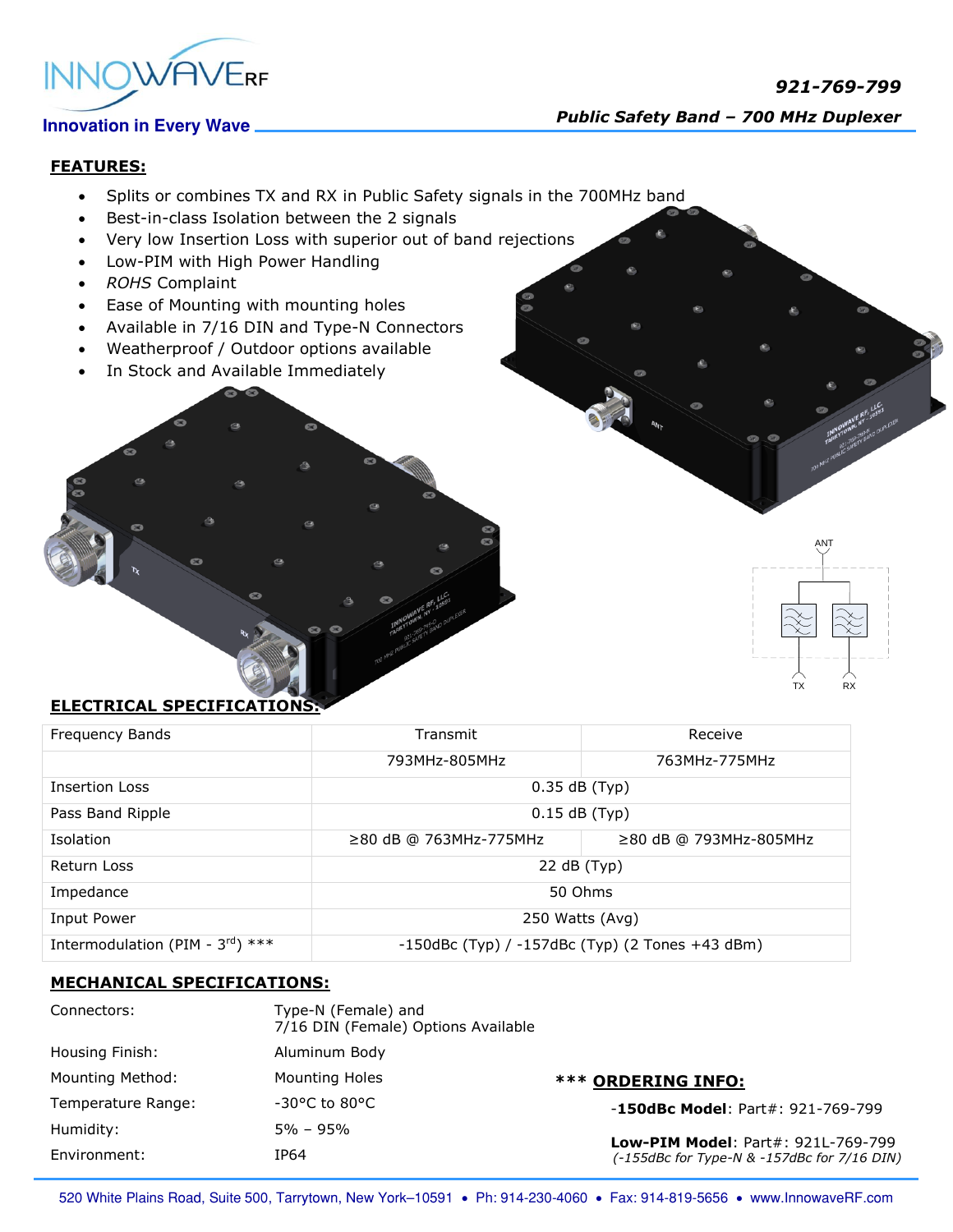

# **FEATURES:**

- Splits or combines TX and RX in Public Safety signals in the 700MHz band
- Best-in-class Isolation between the 2 signals
- Very low Insertion Loss with superior out of band rejections
- Low-PIM with High Power Handling
- *ROHS* Complaint
- Ease of Mounting with mounting holes
- Available in 7/16 DIN and Type-N Connectors
- Weatherproof / Outdoor options available
- In Stock and Available Immediately



### **ELECTRICAL SPECIFICATIONS:**

| Frequency Bands                              | Transmit                                              | Receive                      |
|----------------------------------------------|-------------------------------------------------------|------------------------------|
|                                              | 793MHz-805MHz                                         | 763MHz-775MHz                |
| Insertion Loss                               | $0.35$ dB (Typ)                                       |                              |
| Pass Band Ripple                             | $0.15$ dB (Typ)                                       |                              |
| Isolation                                    | $\geq$ 80 dB @ 763MHz-775MHz                          | $\geq$ 80 dB @ 793MHz-805MHz |
| Return Loss                                  | 22 dB (Typ)                                           |                              |
| Impedance                                    | 50 Ohms                                               |                              |
| Input Power                                  | 250 Watts (Avg)                                       |                              |
| Intermodulation (PIM - $3^{\text{rd}}$ ) *** | $-150$ dBc (Typ) / $-157$ dBc (Typ) (2 Tones +43 dBm) |                              |

### **MECHANICAL SPECIFICATIONS:**

| Connectors:        | Type-N (Female) and<br>7/16 DIN (Female) Options Available |                                                                                          |
|--------------------|------------------------------------------------------------|------------------------------------------------------------------------------------------|
| Housing Finish:    | Aluminum Body                                              |                                                                                          |
| Mounting Method:   | Mounting Holes                                             | <b>*** ORDERING INFO:</b>                                                                |
| Temperature Range: | $-30^{\circ}$ C to 80 $^{\circ}$ C                         | $-150$ dBc Model: Part#: 921-769-799                                                     |
| Humidity:          | 5% – 95%                                                   |                                                                                          |
| Environment:       | IP64                                                       | <b>Low-PIM Model: Part#: 921L-769-799</b><br>(-155dBc for Type-N & -157dBc for 7/16 DIN) |

520 White Plains Road, Suite 500, Tarrytown, New York-10591 . Ph: 914-230-4060 . Fax: 914-819-5656 . www.InnowaveRF.com